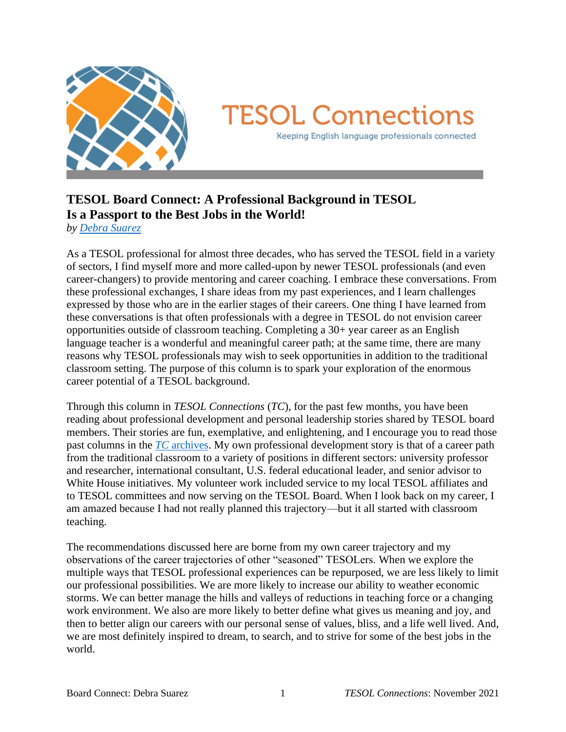

# **TESOL Connections** Keeping English language professionals connected

## **TESOL Board Connect: A Professional Background in TESOL Is a Passport to the Best Jobs in the World!**

*by [Debra Suarez](mailto:debra.suarez@gmail.com)*

As a TESOL professional for almost three decades, who has served the TESOL field in a variety of sectors, I find myself more and more called-upon by newer TESOL professionals (and even career-changers) to provide mentoring and career coaching. I embrace these conversations. From these professional exchanges, I share ideas from my past experiences, and I learn challenges expressed by those who are in the earlier stages of their careers. One thing I have learned from these conversations is that often professionals with a degree in TESOL do not envision career opportunities outside of classroom teaching. Completing a 30+ year career as an English language teacher is a wonderful and meaningful career path; at the same time, there are many reasons why TESOL professionals may wish to seek opportunities in addition to the traditional classroom setting. The purpose of this column is to spark your exploration of the enormous career potential of a TESOL background.

Through this column in *TESOL Connections* (*TC*), for the past few months, you have been reading about professional development and personal leadership stories shared by TESOL board members. Their stories are fun, exemplative, and enlightening, and I encourage you to read those past columns in the *TC* [archives.](http://newsmanager.commpartners.com/tesolc/issues/) My own professional development story is that of a career path from the traditional classroom to a variety of positions in different sectors: university professor and researcher, international consultant, U.S. federal educational leader, and senior advisor to White House initiatives. My volunteer work included service to my local TESOL affiliates and to TESOL committees and now serving on the TESOL Board. When I look back on my career, I am amazed because I had not really planned this trajectory—but it all started with classroom teaching.

The recommendations discussed here are borne from my own career trajectory and my observations of the career trajectories of other "seasoned" TESOLers. When we explore the multiple ways that TESOL professional experiences can be repurposed, we are less likely to limit our professional possibilities. We are more likely to increase our ability to weather economic storms. We can better manage the hills and valleys of reductions in teaching force or a changing work environment. We also are more likely to better define what gives us meaning and joy, and then to better align our careers with our personal sense of values, bliss, and a life well lived. And, we are most definitely inspired to dream, to search, and to strive for some of the best jobs in the world.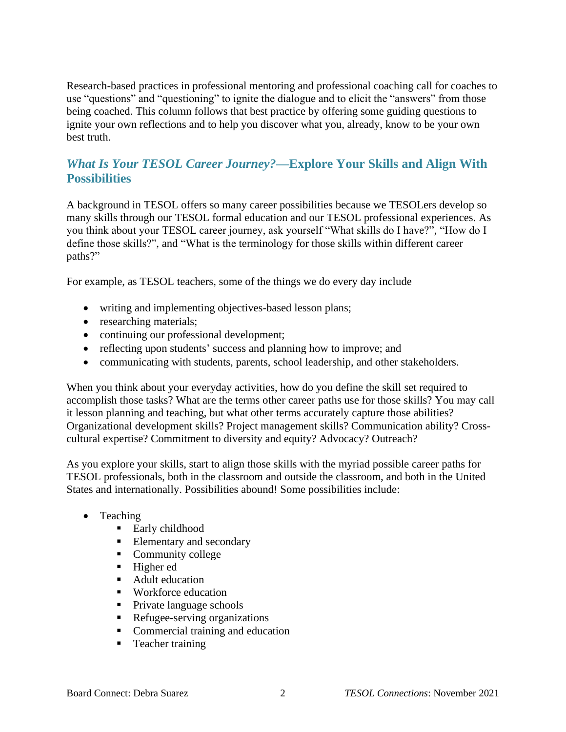Research-based practices in professional mentoring and professional coaching call for coaches to use "questions" and "questioning" to ignite the dialogue and to elicit the "answers" from those being coached. This column follows that best practice by offering some guiding questions to ignite your own reflections and to help you discover what you, already, know to be your own best truth.

#### *What Is Your TESOL Career Journey?***—Explore Your Skills and Align With Possibilities**

A background in TESOL offers so many career possibilities because we TESOLers develop so many skills through our TESOL formal education and our TESOL professional experiences. As you think about your TESOL career journey, ask yourself "What skills do I have?", "How do I define those skills?", and "What is the terminology for those skills within different career paths?"

For example, as TESOL teachers, some of the things we do every day include

- writing and implementing objectives-based lesson plans;
- researching materials;
- continuing our professional development;
- reflecting upon students' success and planning how to improve; and
- communicating with students, parents, school leadership, and other stakeholders.

When you think about your everyday activities, how do you define the skill set required to accomplish those tasks? What are the terms other career paths use for those skills? You may call it lesson planning and teaching, but what other terms accurately capture those abilities? Organizational development skills? Project management skills? Communication ability? Crosscultural expertise? Commitment to diversity and equity? Advocacy? Outreach?

As you explore your skills, start to align those skills with the myriad possible career paths for TESOL professionals, both in the classroom and outside the classroom, and both in the United States and internationally. Possibilities abound! Some possibilities include:

- Teaching
	- Early childhood
	- **Elementary and secondary**
	- Community college
	- Higher ed
	- Adult education
	- Workforce education
	- Private language schools
	- Refugee-serving organizations
	- Commercial training and education
	- Teacher training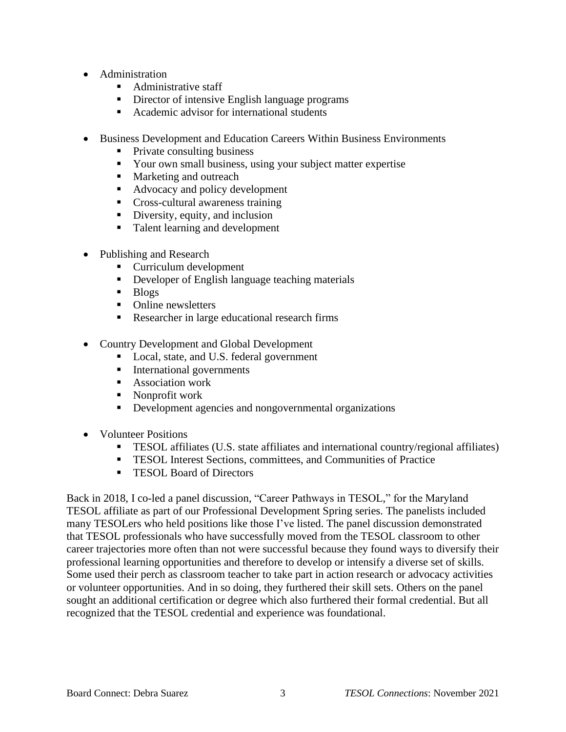- Administration
	- Administrative staff
	- **•** Director of intensive English language programs
	- Academic advisor for international students
- Business Development and Education Careers Within Business Environments
	- Private consulting business
	- Your own small business, using your subject matter expertise
	- Marketing and outreach
	- Advocacy and policy development
	- Cross-cultural awareness training
	- Diversity, equity, and inclusion
	- Talent learning and development
- Publishing and Research
	- Curriculum development
	- **•** Developer of English language teaching materials
	- Blogs
	- Online newsletters
	- Researcher in large educational research firms
- Country Development and Global Development
	- Local, state, and U.S. federal government
	- **EXECUTE:** International governments
	- Association work
	- Nonprofit work
	- **•** Development agencies and nongovernmental organizations
- Volunteer Positions
	- **•** TESOL affiliates (U.S. state affiliates and international country/regional affiliates)
	- TESOL Interest Sections, committees, and Communities of Practice
	- TESOL Board of Directors

Back in 2018, I co-led a panel discussion, "Career Pathways in TESOL," for the Maryland TESOL affiliate as part of our Professional Development Spring series. The panelists included many TESOLers who held positions like those I've listed. The panel discussion demonstrated that TESOL professionals who have successfully moved from the TESOL classroom to other career trajectories more often than not were successful because they found ways to diversify their professional learning opportunities and therefore to develop or intensify a diverse set of skills. Some used their perch as classroom teacher to take part in action research or advocacy activities or volunteer opportunities. And in so doing, they furthered their skill sets. Others on the panel sought an additional certification or degree which also furthered their formal credential. But all recognized that the TESOL credential and experience was foundational.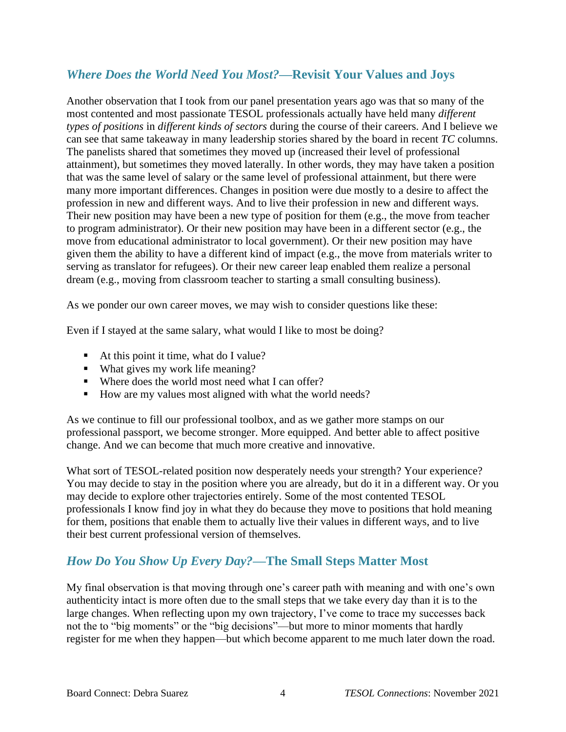#### *Where Does the World Need You Most?***—Revisit Your Values and Joys**

Another observation that I took from our panel presentation years ago was that so many of the most contented and most passionate TESOL professionals actually have held many *different types of positions* in *different kinds of sectors* during the course of their careers. And I believe we can see that same takeaway in many leadership stories shared by the board in recent *TC* columns. The panelists shared that sometimes they moved up (increased their level of professional attainment), but sometimes they moved laterally. In other words, they may have taken a position that was the same level of salary or the same level of professional attainment, but there were many more important differences. Changes in position were due mostly to a desire to affect the profession in new and different ways. And to live their profession in new and different ways. Their new position may have been a new type of position for them (e.g., the move from teacher to program administrator). Or their new position may have been in a different sector (e.g., the move from educational administrator to local government). Or their new position may have given them the ability to have a different kind of impact (e.g., the move from materials writer to serving as translator for refugees). Or their new career leap enabled them realize a personal dream (e.g., moving from classroom teacher to starting a small consulting business).

As we ponder our own career moves, we may wish to consider questions like these:

Even if I stayed at the same salary, what would I like to most be doing?

- At this point it time, what do I value?
- What gives my work life meaning?
- Where does the world most need what I can offer?
- How are my values most aligned with what the world needs?

As we continue to fill our professional toolbox, and as we gather more stamps on our professional passport, we become stronger. More equipped. And better able to affect positive change. And we can become that much more creative and innovative.

What sort of TESOL-related position now desperately needs your strength? Your experience? You may decide to stay in the position where you are already, but do it in a different way. Or you may decide to explore other trajectories entirely. Some of the most contented TESOL professionals I know find joy in what they do because they move to positions that hold meaning for them, positions that enable them to actually live their values in different ways, and to live their best current professional version of themselves.

### *How Do You Show Up Every Day?***—The Small Steps Matter Most**

My final observation is that moving through one's career path with meaning and with one's own authenticity intact is more often due to the small steps that we take every day than it is to the large changes. When reflecting upon my own trajectory, I've come to trace my successes back not the to "big moments" or the "big decisions"—but more to minor moments that hardly register for me when they happen—but which become apparent to me much later down the road.